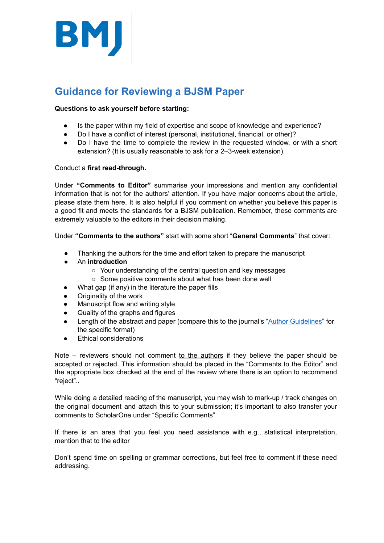

# **Guidance for Reviewing a BJSM Paper**

#### **Questions to ask yourself before starting:**

- Is the paper within my field of expertise and scope of knowledge and experience?
- Do I have a conflict of interest (personal, institutional, financial, or other)?
- Do I have the time to complete the review in the requested window, or with a short extension? (It is usually reasonable to ask for a 2–3-week extension).

#### Conduct a **first read-through.**

Under **"Comments to Editor"** summarise your impressions and mention any confidential information that is not for the authors' attention. If you have major concerns about the article, please state them here. It is also helpful if you comment on whether you believe this paper is a good fit and meets the standards for a BJSM publication. Remember, these comments are extremely valuable to the editors in their decision making.

Under "Comments to the authors" start with some short "General Comments" that cover:

- Thanking the authors for the time and effort taken to prepare the manuscript
- An **introduction** 
	- Your understanding of the central question and key messages
	- Some positive comments about what has been done well
- What gap (if any) in the literature the paper fills
- Originality of the work
- Manuscript flow and writing style
- Quality of the graphs and figures
- Length of the abstract and paper (compare this to the journal's "Author Guidelines" for the specific format)
- **Ethical considerations**

Note – reviewers should not comment to the authors if they believe the paper should be accepted or rejected. This information should be placed in the "Comments to the Editor" and the appropriate box checked at the end of the review where there is an option to recommend "reject"..

While doing a detailed reading of the manuscript, you may wish to mark-up / track changes on the original document and attach this to your submission; it's important to also transfer your comments to ScholarOne under "Specific Comments"

If there is an area that you feel you need assistance with e.g., statistical interpretation, mention that to the editor

Don't spend time on spelling or grammar corrections, but feel free to comment if these need addressing.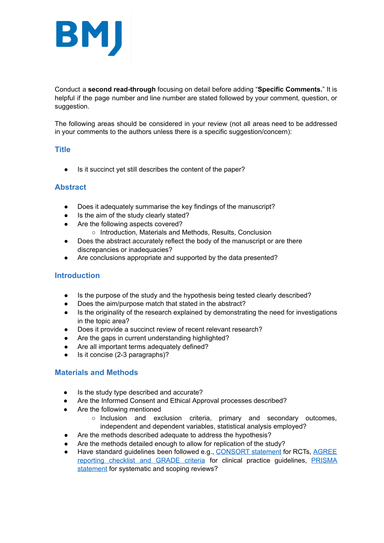

Conduct a **second read-through** focusing on detail before adding " **Specific Comments.** " It is helpful if the page number and line number are stated followed by your comment, question, or suggestion.

The following areas should be considered in your review (not all areas need to be addressed in your comments to the authors unless there is a specific suggestion/concern):

#### **Title**

Is it succinct yet still describes the content of the paper?

#### **Abstract**

- Does it adequately summarise the key findings of the manuscript?
- Is the aim of the study clearly stated?
- Are the following aspects covered?
	- Introduction, Materials and Methods, Results, Conclusion
- Does the abstract accurately reflect the body of the manuscript or are there discrepancies or inadequacies?
- Are conclusions appropriate and supported by the data presented?

#### **Introduction**

- Is the purpose of the study and the hypothesis being tested clearly described?
- Does the aim/purpose match that stated in the abstract?
- Is the originality of the research explained by demonstrating the need for investigations in the topic area?
- Does it provide a succinct review of recent relevant research?
- Are the gaps in current understanding highlighted?
- Are all important terms adequately defined?
- Is it concise (2-3 paragraphs)?

#### **Materials and Methods**

- Is the study type described and accurate?
- Are the Informed Consent and Ethical Approval processes described?
- Are the following mentioned
	- Inclusion and exclusion criteria, primary and secondary outcomes, independent and dependent variables, statistical analysis employed?
- Are the methods described adequate to address the hypothesis?
- Are the methods detailed enough to allow for replication of the study?
- Have standard guidelines been followed e.g., [CONSORT statement](http://www.consort-statement.org/) for RCTs, AGREE [reporting checklist](https://www.equator-network.org/wp-content/uploads/2016/03/AGREE-Reporting-Checklist.pdf) and [GRADE criteria](https://bestpractice.bmj.com/info/us/toolkit/learn-ebm/what-is-grade/) for clinical practice guidelines, [PRISMA](https://www.bmj.com/content/339/bmj.b2535.full?ijkey=seQ/tYPg1lEK.&keytype=ref&siteid=bmjjournals%253Cbr%2520/%253E)  [statement](https://www.bmj.com/content/339/bmj.b2535.full?ijkey=seQ/tYPg1lEK.&keytype=ref&siteid=bmjjournals%253Cbr%2520/%253E) for systematic and scoping reviews?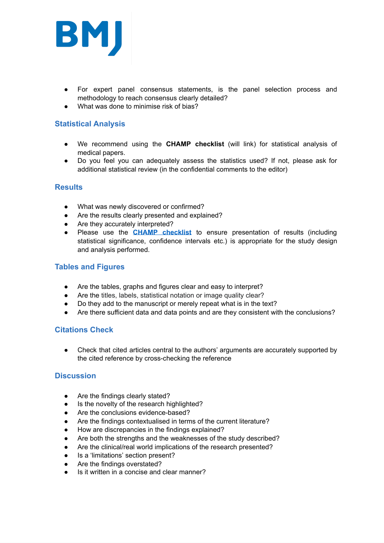

- For expert panel consensus statements, is the panel selection process and methodology to reach consensus clearly detailed?
- What was done to minimise risk of bias?

## **Statistical Analysis**

- We recommend using the **CHAMP checklist** (will link) for statistical analysis of medical papers.
- Do you feel you can adequately assess the statistics used? If not, please ask for additional statistical review (in the confidential comments to the editor)

#### **Results**

- What was newly discovered or confirmed?
- Are the results clearly presented and explained?
- Are they accurately interpreted?
- Please use the **[CHAMP checklist](https://bjsm.bmj.com/content/early/2021/01/26/bjsports-2020-103651.full)** to ensure presentation of results (including statistical significance, confidence intervals etc.) is appropriate for the study design and analysis performed.

#### **Tables and Figures**

- Are the tables, graphs and figures clear and easy to interpret?
- Are the titles, labels, statistical notation or image quality clear?
- Do they add to the manuscript or merely repeat what is in the text?
- Are there sufficient data and data points and are they consistent with the conclusions?

## **Citations Check**

● Check that cited articles central to the authors' arguments are accurately supported by the cited reference by cross-checking the reference

#### **Discussion**

- Are the findings clearly stated?
- Is the novelty of the research highlighted?
- Are the conclusions evidence-based?
- Are the findings contextualised in terms of the current literature?
- How are discrepancies in the findings explained?
- Are both the strengths and the weaknesses of the study described?
- Are the clinical/real world implications of the research presented?
- Is a 'limitations' section present?
- Are the findings overstated?
- Is it written in a concise and clear manner?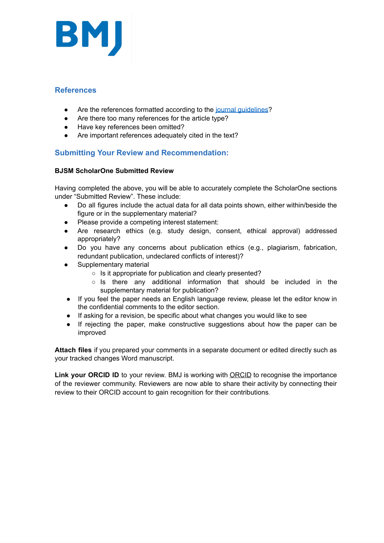

### **References**

- Are the references formatted according to the journal guidelines?
- Are there too many references for the article type?
- Have key references been omitted?
- Are important references adequately cited in the text?

## **Submitting Your Review and Recommendation:**

#### **BJSM ScholarOne Submitted Review**

Having completed the above, you will be able to accurately complete the ScholarOne sections under "Submitted Review". These include:

- Do all figures include the actual data for all data points shown, either within/beside the figure or in the supplementary material?
- Please provide a competing interest statement:
- Are research ethics (e.g. study design, consent, ethical approval) addressed appropriately?
- Do you have any concerns about publication ethics (e.g., plagiarism, fabrication, redundant publication, undeclared conflicts of interest)?
- Supplementary material
	- Is it appropriate for publication and clearly presented?
	- Is there any additional information that should be included in the supplementary material for publication?
- If you feel the paper needs an English language review, please let the editor know in the confidential comments to the editor section.
- If asking for a revision, be specific about what changes you would like to see
- If rejecting the paper, make constructive suggestions about how the paper can be improved

**Attach files** if you prepared your comments in a separate document or edited directly such as your tracked changes Word manuscript.

Link your [ORCID](https://orcid.org/) ID to your review. BMJ is working with ORCID to recognise the importance of the reviewer community. Reviewers are now able to share their activity by connecting their review to their ORCID account to gain recognition for their contributions *.*